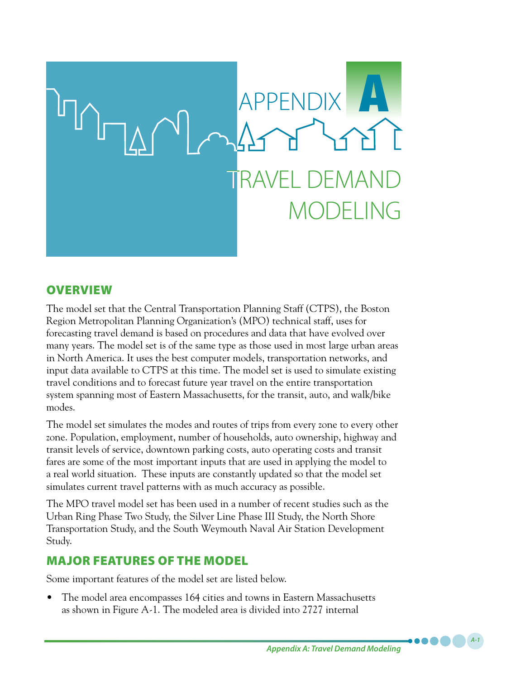

## **OVERVIEW**

The model set that the Central Transportation Planning Staff (CTPS), the Boston Region Metropolitan Planning Organization's (MPO) technical staff, uses for forecasting travel demand is based on procedures and data that have evolved over many years. The model set is of the same type as those used in most large urban areas in North America. It uses the best computer models, transportation networks, and input data available to CTPS at this time. The model set is used to simulate existing travel conditions and to forecast future year travel on the entire transportation system spanning most of Eastern Massachusetts, for the transit, auto, and walk/bike modes.

The model set simulates the modes and routes of trips from every zone to every other zone. Population, employment, number of households, auto ownership, highway and transit levels of service, downtown parking costs, auto operating costs and transit fares are some of the most important inputs that are used in applying the model to a real world situation. These inputs are constantly updated so that the model set simulates current travel patterns with as much accuracy as possible.

The MPO travel model set has been used in a number of recent studies such as the Urban Ring Phase Two Study, the Silver Line Phase III Study, the North Shore Transportation Study, and the South Weymouth Naval Air Station Development Study.

# MAJOR FEATURES OF THE MODEL

Some important features of the model set are listed below.

• The model area encompasses 164 cities and towns in Eastern Massachusetts as shown in Figure A-1. The modeled area is divided into 2727 internal

*A-1*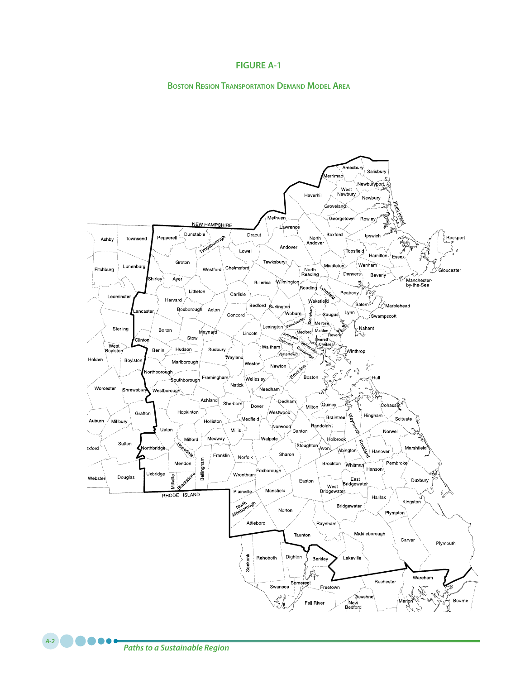### **FIGURE A-1**

#### **Boston Region Transportation Demand Model Area**

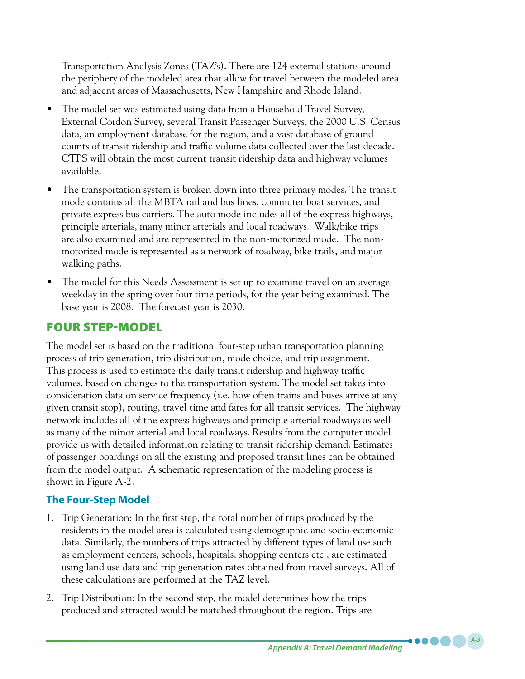Transportation Analysis Zones (TAZ's). There are 124 external stations around the periphery of the modeled area that allow for travel between the modeled area and adjacent areas of Massachusetts, New Hampshire and Rhode Island.

- The model set was estimated using data from a Household Travel Survey, External Cordon Survey, several Transit Passenger Surveys, the 2000 U.S. Census data, an employment database for the region, and a vast database of ground counts of transit ridership and traffic volume data collected over the last decade. CTPS will obtain the most current transit ridership data and highway volumes available.
- The transportation system is broken down into three primary modes. The transit mode contains all the MBTA rail and bus lines, commuter boat services, and private express bus carriers. The auto mode includes all of the express highways, principle arterials, many minor arterials and local roadways. Walk/bike trips are also examined and are represented in the non-motorized mode. The nonmotorized mode is represented as a network of roadway, bike trails, and major walking paths.
- The model for this Needs Assessment is set up to examine travel on an average weekday in the spring over four time periods, for the year being examined. The base year is 2008. The forecast year is 2030.

## FOUR STEP-MODEL

The model set is based on the traditional four-step urban transportation planning process of trip generation, trip distribution, mode choice, and trip assignment. This process is used to estimate the daily transit ridership and highway traffic volumes, based on changes to the transportation system. The model set takes into consideration data on service frequency (i.e. how often trains and buses arrive at any given transit stop), routing, travel time and fares for all transit services. The highway network includes all of the express highways and principle arterial roadways as well as many of the minor arterial and local roadways. Results from the computer model provide us with detailed information relating to transit ridership demand. Estimates of passenger boardings on all the existing and proposed transit lines can be obtained from the model output. A schematic representation of the modeling process is shown in Figure A-2.

## **The Four-Step Model**

- 1. Trip Generation: In the first step, the total number of trips produced by the residents in the model area is calculated using demographic and socio-economic data. Similarly, the numbers of trips attracted by different types of land use such as employment centers, schools, hospitals, shopping centers etc., are estimated using land use data and trip generation rates obtained from travel surveys. All of these calculations are performed at the TAZ level.
- 2. Trip Distribution: In the second step, the model determines how the trips produced and attracted would be matched throughout the region. Trips are

*A-3*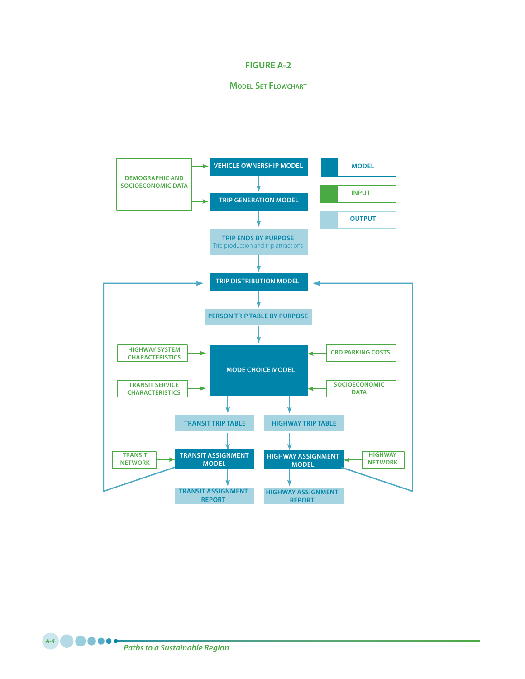### **FIGURE A-2**

### **Model Set Flowchart**



*Paths to a Sustainable Region A-4*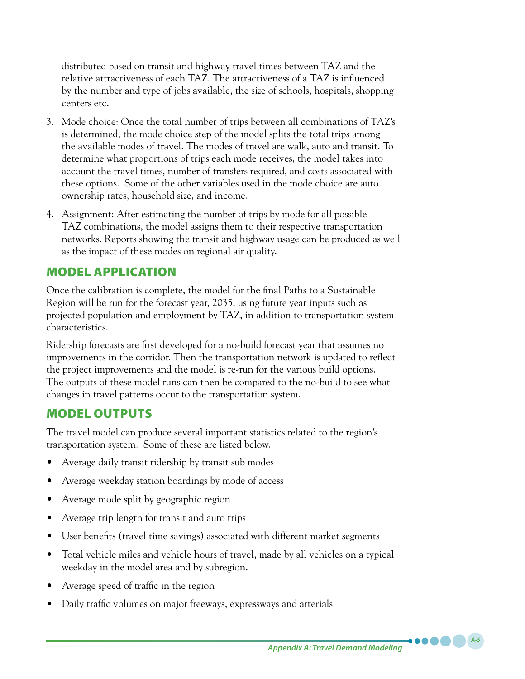distributed based on transit and highway travel times between TAZ and the relative attractiveness of each TAZ. The attractiveness of a TAZ is influenced by the number and type of jobs available, the size of schools, hospitals, shopping centers etc.

- 3. Mode choice: Once the total number of trips between all combinations of TAZ's is determined, the mode choice step of the model splits the total trips among the available modes of travel. The modes of travel are walk, auto and transit. To determine what proportions of trips each mode receives, the model takes into account the travel times, number of transfers required, and costs associated with these options. Some of the other variables used in the mode choice are auto ownership rates, household size, and income.
- 4. Assignment: After estimating the number of trips by mode for all possible TAZ combinations, the model assigns them to their respective transportation networks. Reports showing the transit and highway usage can be produced as well as the impact of these modes on regional air quality.

## MODEL APPLICATION

Once the calibration is complete, the model for the final Paths to a Sustainable Region will be run for the forecast year, 2035, using future year inputs such as projected population and employment by TAZ, in addition to transportation system characteristics.

Ridership forecasts are first developed for a no-build forecast year that assumes no improvements in the corridor. Then the transportation network is updated to reflect the project improvements and the model is re-run for the various build options. The outputs of these model runs can then be compared to the no-build to see what changes in travel patterns occur to the transportation system.

# MODEL OUTPUTS

The travel model can produce several important statistics related to the region's transportation system. Some of these are listed below.

- Average daily transit ridership by transit sub modes
- Average weekday station boardings by mode of access
- Average mode split by geographic region
- Average trip length for transit and auto trips
- User benefits (travel time savings) associated with different market segments
- Total vehicle miles and vehicle hours of travel, made by all vehicles on a typical weekday in the model area and by subregion.
- Average speed of traffic in the region
- Daily traffic volumes on major freeways, expressways and arterials

*A-5*